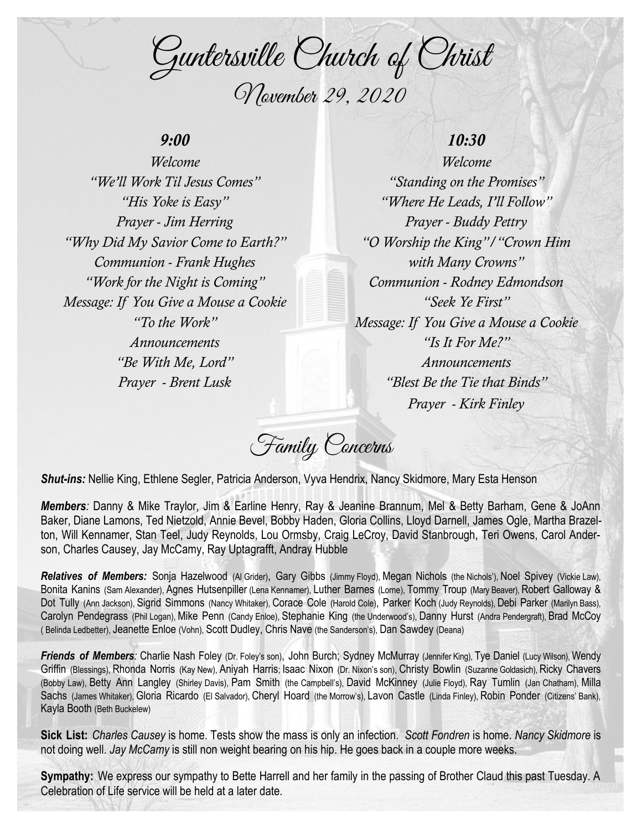Guntersville Church of Christ November 29, 2020

### *9:00*

*Welcome "We'll Work Til Jesus Comes" "His Yoke is Easy" Prayer - Jim Herring "Why Did My Savior Come to Earth?" Communion - Frank Hughes "Work for the Night is Coming" Message: If You Give a Mouse a Cookie "To the Work" Announcements "Be With Me, Lord" Prayer - Brent Lusk*

## *10:30*

*Welcome "Standing on the Promises" "Where He Leads, I'll Follow" Prayer - Buddy Pettry "O Worship the King"/"Crown Him with Many Crowns" Communion - Rodney Edmondson "Seek Ye First" Message: If You Give a Mouse a Cookie "Is It For Me?" Announcements "Blest Be the Tie that Binds" Prayer - Kirk Finley*

Family Concerns

*Shut-ins:* Nellie King, Ethlene Segler, Patricia Anderson, Vyva Hendrix, Nancy Skidmore, Mary Esta Henson

*Members:* Danny & Mike Traylor, Jim & Earline Henry, Ray & Jeanine Brannum, Mel & Betty Barham, Gene & JoAnn Baker, Diane Lamons, Ted Nietzold, Annie Bevel, Bobby Haden, Gloria Collins, Lloyd Darnell, James Ogle, Martha Brazelton, Will Kennamer, Stan Teel, Judy Reynolds, Lou Ormsby, Craig LeCroy, David Stanbrough, Teri Owens, Carol Anderson, Charles Causey, Jay McCamy, Ray Uptagrafft, Andray Hubble

*Relatives of Members:* Sonja Hazelwood (Al Grider), Gary Gibbs (Jimmy Floyd), Megan Nichols (the Nichols'), Noel Spivey (Vickie Law), Bonita Kanins (Sam Alexander), Agnes Hutsenpiller (Lena Kennamer), Luther Barnes (Lorne), Tommy Troup (Mary Beaver), Robert Galloway & Dot Tully (Ann Jackson), Sigrid Simmons (Nancy Whitaker), Corace Cole (Harold Cole), Parker Koch (Judy Reynolds), Debi Parker (Marilyn Bass), Carolyn Pendegrass (Phil Logan), Mike Penn (Candy Enloe), Stephanie King (the Underwood's), Danny Hurst (Andra Pendergraft), Brad McCoy ( Belinda Ledbetter), Jeanette Enloe (Vohn), Scott Dudley, Chris Nave (the Sanderson's), Dan Sawdey (Deana)

*Friends of Members:* Charlie Nash Foley (Dr. Foley's son), John Burch; Sydney McMurray (Jennifer King), Tye Daniel (Lucy Wilson), Wendy Griffin (Blessings), Rhonda Norris (Kay New), Aniyah Harris; Isaac Nixon (Dr. Nixon's son), Christy Bowlin (Suzanne Goldasich), Ricky Chavers (Bobby Law), Betty Ann Langley (Shirley Davis), Pam Smith (the Campbell's), David McKinney (Julie Floyd), Ray Tumlin (Jan Chatham), Milla Sachs (James Whitaker), Gloria Ricardo (El Salvador), Cheryl Hoard (the Morrow's), Lavon Castle (Linda Finley), Robin Ponder (Citizens' Bank), Kayla Booth (Beth Buckelew)

**Sick List:** *Charles Causey* is home. Tests show the mass is only an infection. *Scott Fondren* is home. *Nancy Skidmore* is not doing well. *Jay McCamy* is still non weight bearing on his hip. He goes back in a couple more weeks.

**Sympathy:** We express our sympathy to Bette Harrell and her family in the passing of Brother Claud this past Tuesday. A Celebration of Life service will be held at a later date.